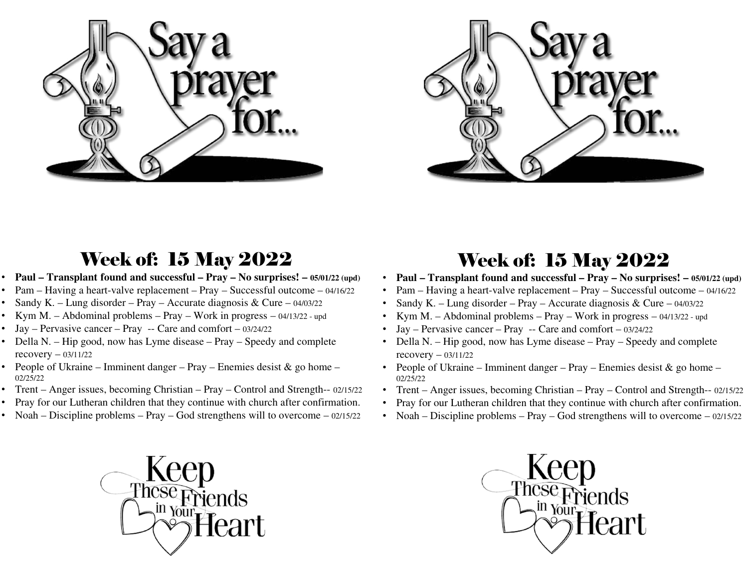



## Week of: 15 May 2022

- **Paul – Transplant found and successful – Pray – No surprises! – 05/01/22 (upd)**
- •Pam – Having a heart-valve replacement – Pray – Successful outcome – 04/16/22
- •• Sandy K. – Lung disorder – Pray – Accurate diagnosis & Cure –  $04/03/22$
- •Kym M. – Abdominal problems – Pray – Work in progress – 04/13/22 - up<sup>d</sup>
- •Jay – Pervasive cancer – Pray -- Care and comfort – 03/24/22
- Della N. Hip good, now has Lyme disease Pray Speedy and complete recovery – 03/11/22
- People of Ukraine Imminent danger Pray Enemies desist & go home –02/25/22
- Trent Anger issues, becoming Christian Pray Control and Strength-- 02/15/22
- Pray for our Lutheran children that they continue with church after confirmation. •
- •Noah – Discipline problems – Pray – God strengthens will to overcome – 02/15/22



## Week of: 15 May 2022

- **Paul – Transplant found and successful – Pray – No surprises! – 05/01/22 (upd)** •
- •Pam – Having a heart-valve replacement – Pray – Successful outcome – 04/16/22
- •Sandy K. – Lung disorder – Pray – Accurate diagnosis & Cure –  $04/03/22$
- •Kym M. – Abdominal problems – Pray – Work in progress – 04/13/22 - up<sup>d</sup>
- •Jay – Pervasive cancer – Pray -- Care and comfort – 03/24/22
- Della N. Hip good, now has Lyme disease Pray Speedy and complete recovery – 03/11/22
- People of Ukraine Imminent danger Pray Enemies desist & go home –02/25/22
- Trent Anger issues, becoming Christian Pray Control and Strength-- 02/15/22
- Pray for our Lutheran children that they continue with church after confirmation. •
- Noah Discipline problems Pray God strengthens will to overcome 02/15/22